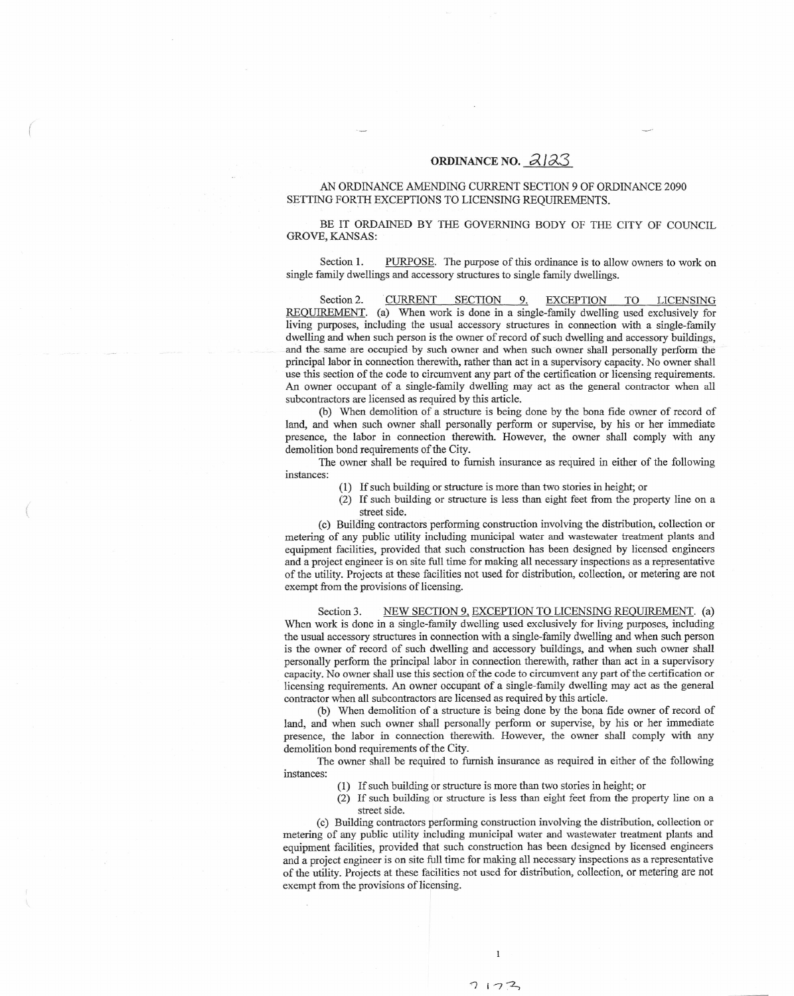## **ORDINANCE NO. ~** *<sup>J</sup> 0(3*

## AN ORDINANCE AMENDING CURRENT SECTION 9 OF ORDINANCE 2090 SETTING FORTH EXCEPTIONS TO LICENSING REQUIREMENT.

(

BE IT ORDAINED BY THE GOVERNING BODY OF THE CITY OF COUNCI GROVE, KANSAS

Se ction 1 **PURPOSE**. The purpose of this ordinance is to allow owners to work on single family dwellings and accessory structures to single family dwellings

S e ction 2. CURRENT <u>SECTION 9. EX</u> CEP TION TO L ICENSI N G REQUIREMENT. (a) When work is done in a single-family dwelling used exclusively for living purposes, including the usual accessory structures in connection with a single-famil dwelling and when such person is the owner of record of such dwelling and accessory buildings and the same are occupied by such owner and when such owner shall personally perform the principal labor in connection therewith, rather than act in a supervisory capacity. No owner shall use this section of the code to circumvent any part of the certification or licensing requirement. An owner occupant of a single-family dwelling may act as the general contractor when all subcontractors are licensed as required by this article

(b) When demolition of a structure is being done by the bona fide owner of record of land, and when such owner shall personally perform or supervise, by his or her immediat presence, th e labor in connect ion there with . Howev er, th e owner sh all comply with any demolition bond requirements of the City

The owner shall be required to furnish insurance as required in either of the following instances

- (1) If such buildin g or st ructure i s m ore than t w o s t orie s i n height ; or
- (2) If such building or structure is less than eight feet from the property line on a street side

(c) Buildi n g c ontra ctors p erformin g con structi o n in vol ving th e dist ribution, colle ction or metering of any public utility including municipal water and wastewater treatment plants and equipment facilities, provided that such construction has been designed by licensed engineer and a project engineer is on site full time for making all necessary inspections as a representative of the utility. Projects at these facilities not used for distribution, collection, or metering are not exempt from the provisions of licensing

Se cti o n 3. NEW SECTION 9. EXCEPTION TO LICENSING REQUIREMENT. (a) When work is done in a single-family dwelling used exclusively for living purposes, including the usual accessory structures in connection with a single-family dwelling and when such person is the owner of record of such dwelling and accessory buildings, and when such owner shall personally perform the principal labor in connection therewith, rather than act in a supervisor capacity. No owner shall use this section of the code to circumvent any part of the certification or licensing requirements. An owner occupant of a single-family dwelling may act as the genera contractor when all subcontractors are licensed as required by this article

(b) When demolition of a structure is being done by the bona fide owner of record of land, and when such owner shall personally perform or supervise, by his or her immediat presence, the labor in connection therewith. However, the owner shall comply with any d e m olition bond requirements o f the City.

The owner shall be required to furnish insurance as required in either of the following instances

- (1) If such building or structure is more than two stories in height; or
- (2) If such building or structure is less than eight feet from the property line on a street side .

(c) Building contractors performing construction involving the distribution, collection or metering of any public utility including municipal water and wastewater treatment plants and equipment facilities, provided that such construction has been designed by licensed engineer and a project engineer is on site full time for making all necessary inspections as a representative of the utility. Projects at these facilities not used for distribution, collection, or metering are no exempt from the provisions of licensing